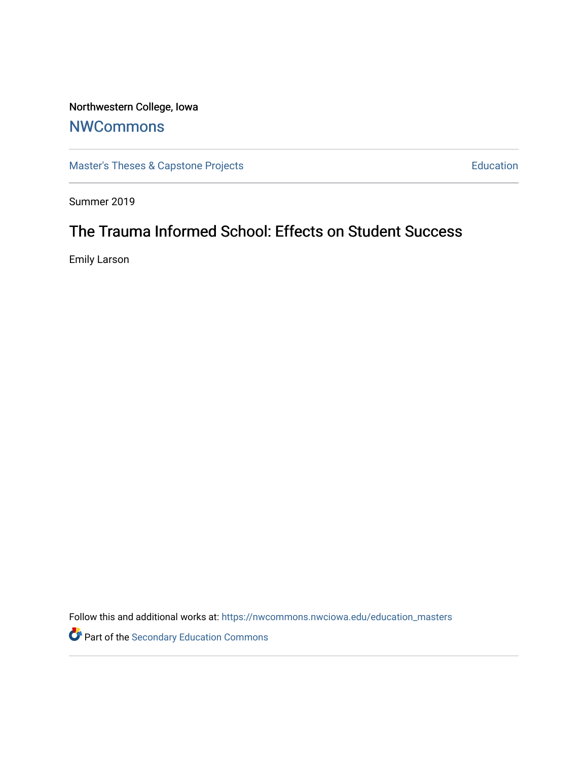# Northwestern College, Iowa

### **[NWCommons](https://nwcommons.nwciowa.edu/)**

[Master's Theses & Capstone Projects](https://nwcommons.nwciowa.edu/education_masters) **Education** Education

Summer 2019

## The Trauma Informed School: Effects on Student Success

Emily Larson

Follow this and additional works at: [https://nwcommons.nwciowa.edu/education\\_masters](https://nwcommons.nwciowa.edu/education_masters?utm_source=nwcommons.nwciowa.edu%2Feducation_masters%2F152&utm_medium=PDF&utm_campaign=PDFCoverPages)

Part of the [Secondary Education Commons](http://network.bepress.com/hgg/discipline/1382?utm_source=nwcommons.nwciowa.edu%2Feducation_masters%2F152&utm_medium=PDF&utm_campaign=PDFCoverPages)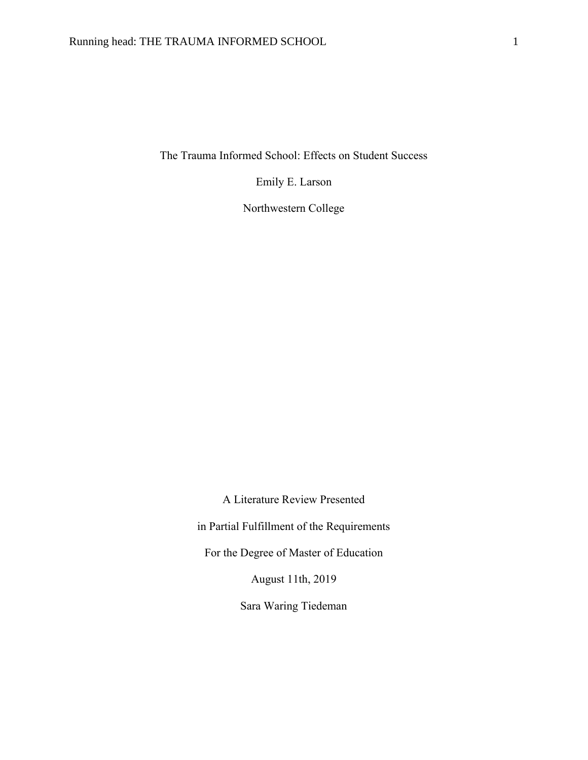The Trauma Informed School: Effects on Student Success

Emily E. Larson

Northwestern College

A Literature Review Presented in Partial Fulfillment of the Requirements For the Degree of Master of Education August 11th, 2019

Sara Waring Tiedeman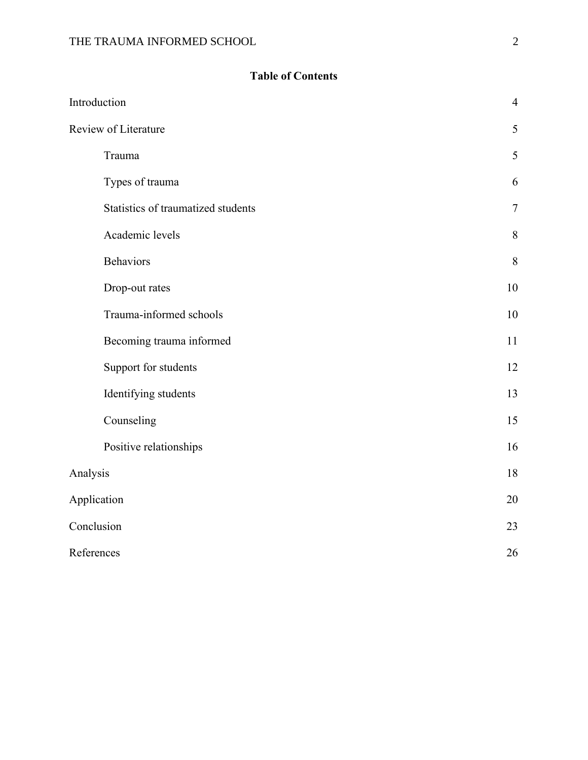### **Table of Contents**

| Introduction                       | $\overline{4}$ |
|------------------------------------|----------------|
| Review of Literature               | 5              |
| Trauma                             | 5              |
| Types of trauma                    | 6              |
| Statistics of traumatized students | $\overline{7}$ |
| Academic levels                    | $8\,$          |
| <b>Behaviors</b>                   | 8              |
| Drop-out rates                     | 10             |
| Trauma-informed schools            | 10             |
| Becoming trauma informed           | 11             |
| Support for students               | 12             |
| Identifying students               | 13             |
| Counseling                         | 15             |
| Positive relationships             | 16             |
| Analysis                           | 18             |
| Application                        | 20             |
| Conclusion                         | 23             |
| References                         | 26             |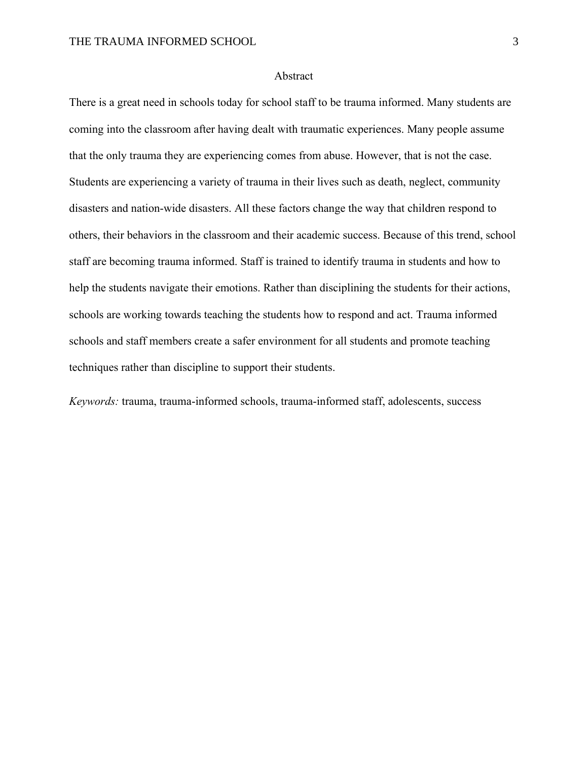#### Abstract

There is a great need in schools today for school staff to be trauma informed. Many students are coming into the classroom after having dealt with traumatic experiences. Many people assume that the only trauma they are experiencing comes from abuse. However, that is not the case. Students are experiencing a variety of trauma in their lives such as death, neglect, community disasters and nation-wide disasters. All these factors change the way that children respond to others, their behaviors in the classroom and their academic success. Because of this trend, school staff are becoming trauma informed. Staff is trained to identify trauma in students and how to help the students navigate their emotions. Rather than disciplining the students for their actions, schools are working towards teaching the students how to respond and act. Trauma informed schools and staff members create a safer environment for all students and promote teaching techniques rather than discipline to support their students.

*Keywords:* trauma, trauma-informed schools, trauma-informed staff, adolescents, success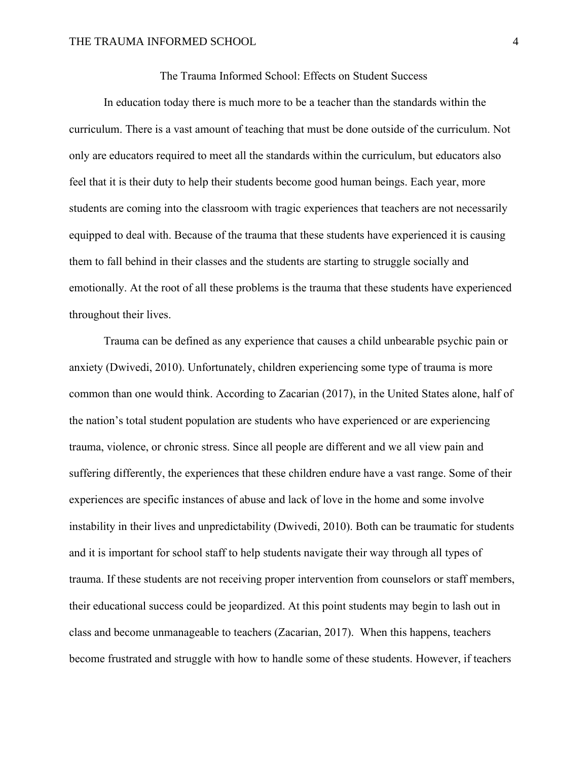The Trauma Informed School: Effects on Student Success

In education today there is much more to be a teacher than the standards within the curriculum. There is a vast amount of teaching that must be done outside of the curriculum. Not only are educators required to meet all the standards within the curriculum, but educators also feel that it is their duty to help their students become good human beings. Each year, more students are coming into the classroom with tragic experiences that teachers are not necessarily equipped to deal with. Because of the trauma that these students have experienced it is causing them to fall behind in their classes and the students are starting to struggle socially and emotionally. At the root of all these problems is the trauma that these students have experienced throughout their lives.

Trauma can be defined as any experience that causes a child unbearable psychic pain or anxiety (Dwivedi, 2010). Unfortunately, children experiencing some type of trauma is more common than one would think. According to Zacarian (2017), in the United States alone, half of the nation's total student population are students who have experienced or are experiencing trauma, violence, or chronic stress. Since all people are different and we all view pain and suffering differently, the experiences that these children endure have a vast range. Some of their experiences are specific instances of abuse and lack of love in the home and some involve instability in their lives and unpredictability (Dwivedi, 2010). Both can be traumatic for students and it is important for school staff to help students navigate their way through all types of trauma. If these students are not receiving proper intervention from counselors or staff members, their educational success could be jeopardized. At this point students may begin to lash out in class and become unmanageable to teachers (Zacarian, 2017). When this happens, teachers become frustrated and struggle with how to handle some of these students. However, if teachers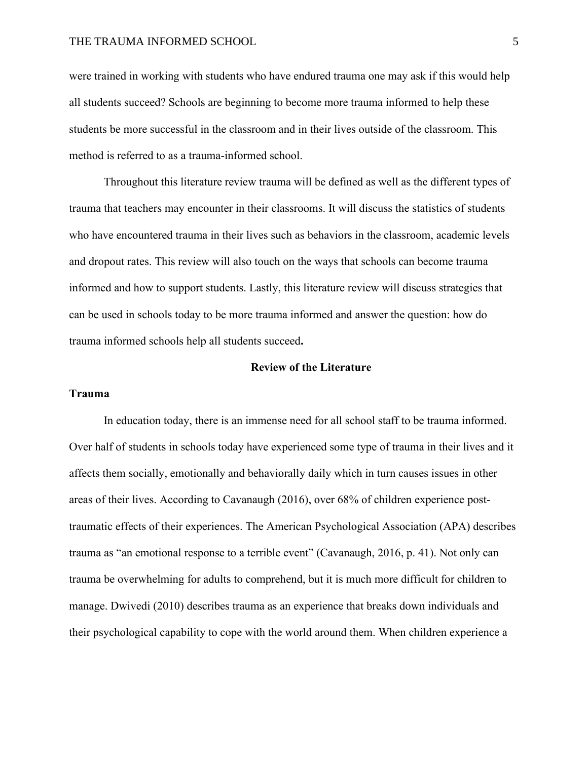were trained in working with students who have endured trauma one may ask if this would help all students succeed? Schools are beginning to become more trauma informed to help these students be more successful in the classroom and in their lives outside of the classroom. This method is referred to as a trauma-informed school.

Throughout this literature review trauma will be defined as well as the different types of trauma that teachers may encounter in their classrooms. It will discuss the statistics of students who have encountered trauma in their lives such as behaviors in the classroom, academic levels and dropout rates. This review will also touch on the ways that schools can become trauma informed and how to support students. Lastly, this literature review will discuss strategies that can be used in schools today to be more trauma informed and answer the question: how do trauma informed schools help all students succeed**.**

#### **Review of the Literature**

#### **Trauma**

In education today, there is an immense need for all school staff to be trauma informed. Over half of students in schools today have experienced some type of trauma in their lives and it affects them socially, emotionally and behaviorally daily which in turn causes issues in other areas of their lives. According to Cavanaugh (2016), over 68% of children experience posttraumatic effects of their experiences. The American Psychological Association (APA) describes trauma as "an emotional response to a terrible event" (Cavanaugh, 2016, p. 41). Not only can trauma be overwhelming for adults to comprehend, but it is much more difficult for children to manage. Dwivedi (2010) describes trauma as an experience that breaks down individuals and their psychological capability to cope with the world around them. When children experience a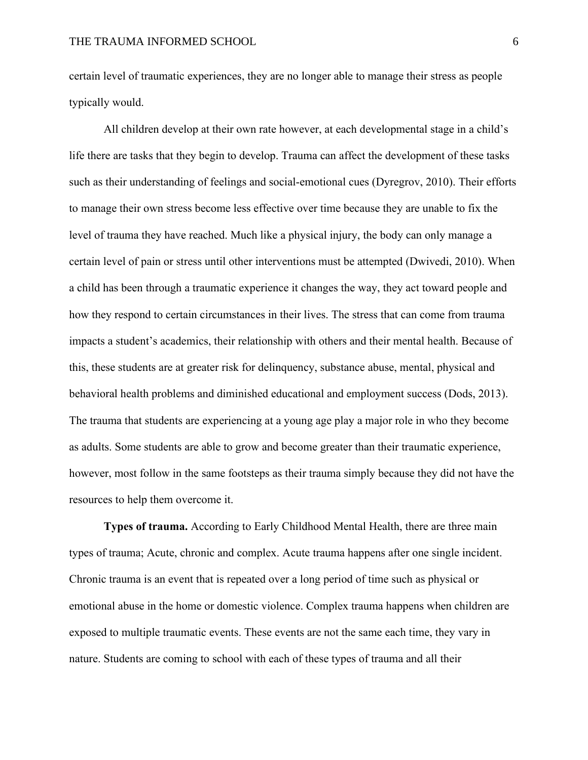certain level of traumatic experiences, they are no longer able to manage their stress as people typically would.

All children develop at their own rate however, at each developmental stage in a child's life there are tasks that they begin to develop. Trauma can affect the development of these tasks such as their understanding of feelings and social-emotional cues (Dyregrov, 2010). Their efforts to manage their own stress become less effective over time because they are unable to fix the level of trauma they have reached. Much like a physical injury, the body can only manage a certain level of pain or stress until other interventions must be attempted (Dwivedi, 2010). When a child has been through a traumatic experience it changes the way, they act toward people and how they respond to certain circumstances in their lives. The stress that can come from trauma impacts a student's academics, their relationship with others and their mental health. Because of this, these students are at greater risk for delinquency, substance abuse, mental, physical and behavioral health problems and diminished educational and employment success (Dods, 2013). The trauma that students are experiencing at a young age play a major role in who they become as adults. Some students are able to grow and become greater than their traumatic experience, however, most follow in the same footsteps as their trauma simply because they did not have the resources to help them overcome it.

**Types of trauma.** According to Early Childhood Mental Health, there are three main types of trauma; Acute, chronic and complex. Acute trauma happens after one single incident. Chronic trauma is an event that is repeated over a long period of time such as physical or emotional abuse in the home or domestic violence. Complex trauma happens when children are exposed to multiple traumatic events. These events are not the same each time, they vary in nature. Students are coming to school with each of these types of trauma and all their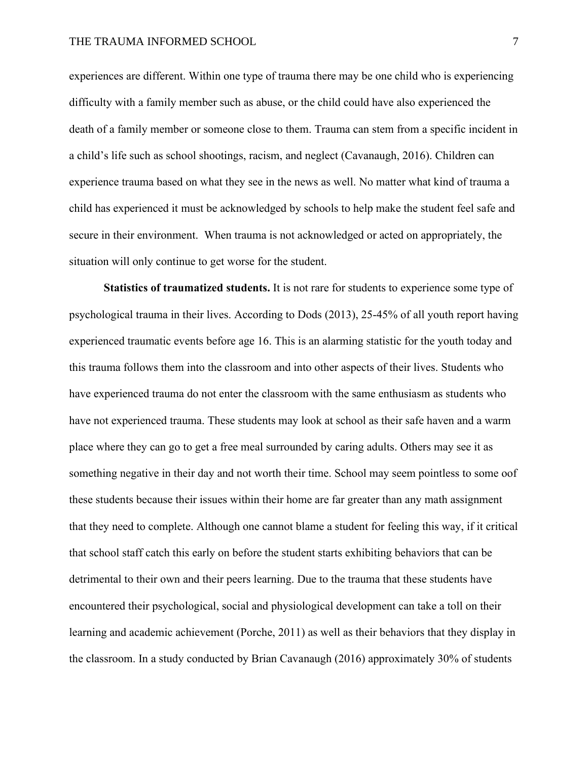experiences are different. Within one type of trauma there may be one child who is experiencing difficulty with a family member such as abuse, or the child could have also experienced the death of a family member or someone close to them. Trauma can stem from a specific incident in a child's life such as school shootings, racism, and neglect (Cavanaugh, 2016). Children can experience trauma based on what they see in the news as well. No matter what kind of trauma a child has experienced it must be acknowledged by schools to help make the student feel safe and secure in their environment. When trauma is not acknowledged or acted on appropriately, the situation will only continue to get worse for the student.

**Statistics of traumatized students.** It is not rare for students to experience some type of psychological trauma in their lives. According to Dods (2013), 25-45% of all youth report having experienced traumatic events before age 16. This is an alarming statistic for the youth today and this trauma follows them into the classroom and into other aspects of their lives. Students who have experienced trauma do not enter the classroom with the same enthusiasm as students who have not experienced trauma. These students may look at school as their safe haven and a warm place where they can go to get a free meal surrounded by caring adults. Others may see it as something negative in their day and not worth their time. School may seem pointless to some oof these students because their issues within their home are far greater than any math assignment that they need to complete. Although one cannot blame a student for feeling this way, if it critical that school staff catch this early on before the student starts exhibiting behaviors that can be detrimental to their own and their peers learning. Due to the trauma that these students have encountered their psychological, social and physiological development can take a toll on their learning and academic achievement (Porche, 2011) as well as their behaviors that they display in the classroom. In a study conducted by Brian Cavanaugh (2016) approximately 30% of students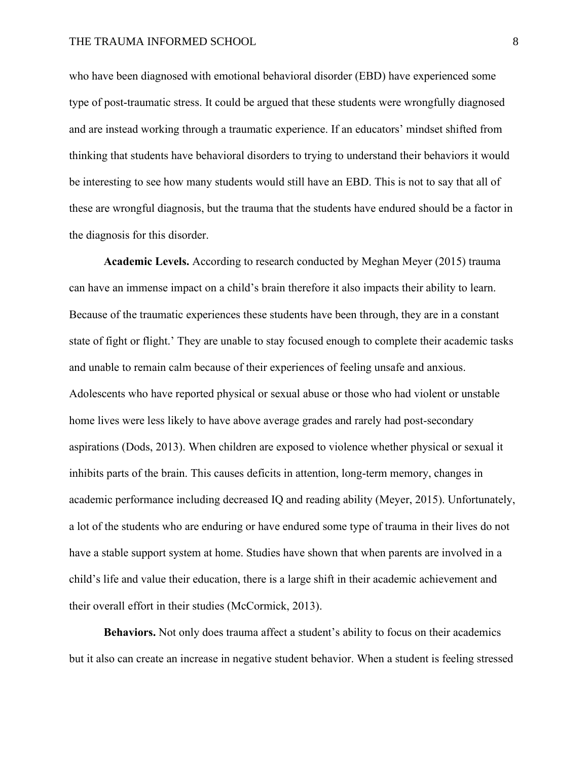#### THE TRAUMA INFORMED SCHOOL **8** 8

who have been diagnosed with emotional behavioral disorder (EBD) have experienced some type of post-traumatic stress. It could be argued that these students were wrongfully diagnosed and are instead working through a traumatic experience. If an educators' mindset shifted from thinking that students have behavioral disorders to trying to understand their behaviors it would be interesting to see how many students would still have an EBD. This is not to say that all of these are wrongful diagnosis, but the trauma that the students have endured should be a factor in the diagnosis for this disorder.

**Academic Levels.** According to research conducted by Meghan Meyer (2015) trauma can have an immense impact on a child's brain therefore it also impacts their ability to learn. Because of the traumatic experiences these students have been through, they are in a constant state of fight or flight.' They are unable to stay focused enough to complete their academic tasks and unable to remain calm because of their experiences of feeling unsafe and anxious. Adolescents who have reported physical or sexual abuse or those who had violent or unstable home lives were less likely to have above average grades and rarely had post-secondary aspirations (Dods, 2013). When children are exposed to violence whether physical or sexual it inhibits parts of the brain. This causes deficits in attention, long-term memory, changes in academic performance including decreased IQ and reading ability (Meyer, 2015). Unfortunately, a lot of the students who are enduring or have endured some type of trauma in their lives do not have a stable support system at home. Studies have shown that when parents are involved in a child's life and value their education, there is a large shift in their academic achievement and their overall effort in their studies (McCormick, 2013).

**Behaviors.** Not only does trauma affect a student's ability to focus on their academics but it also can create an increase in negative student behavior. When a student is feeling stressed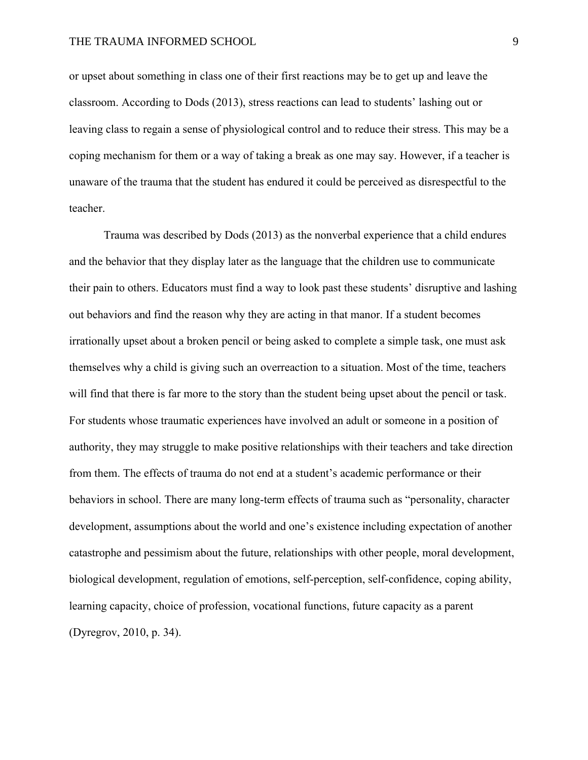or upset about something in class one of their first reactions may be to get up and leave the classroom. According to Dods (2013), stress reactions can lead to students' lashing out or leaving class to regain a sense of physiological control and to reduce their stress. This may be a coping mechanism for them or a way of taking a break as one may say. However, if a teacher is unaware of the trauma that the student has endured it could be perceived as disrespectful to the teacher.

Trauma was described by Dods (2013) as the nonverbal experience that a child endures and the behavior that they display later as the language that the children use to communicate their pain to others. Educators must find a way to look past these students' disruptive and lashing out behaviors and find the reason why they are acting in that manor. If a student becomes irrationally upset about a broken pencil or being asked to complete a simple task, one must ask themselves why a child is giving such an overreaction to a situation. Most of the time, teachers will find that there is far more to the story than the student being upset about the pencil or task. For students whose traumatic experiences have involved an adult or someone in a position of authority, they may struggle to make positive relationships with their teachers and take direction from them. The effects of trauma do not end at a student's academic performance or their behaviors in school. There are many long-term effects of trauma such as "personality, character development, assumptions about the world and one's existence including expectation of another catastrophe and pessimism about the future, relationships with other people, moral development, biological development, regulation of emotions, self-perception, self-confidence, coping ability, learning capacity, choice of profession, vocational functions, future capacity as a parent (Dyregrov, 2010, p. 34).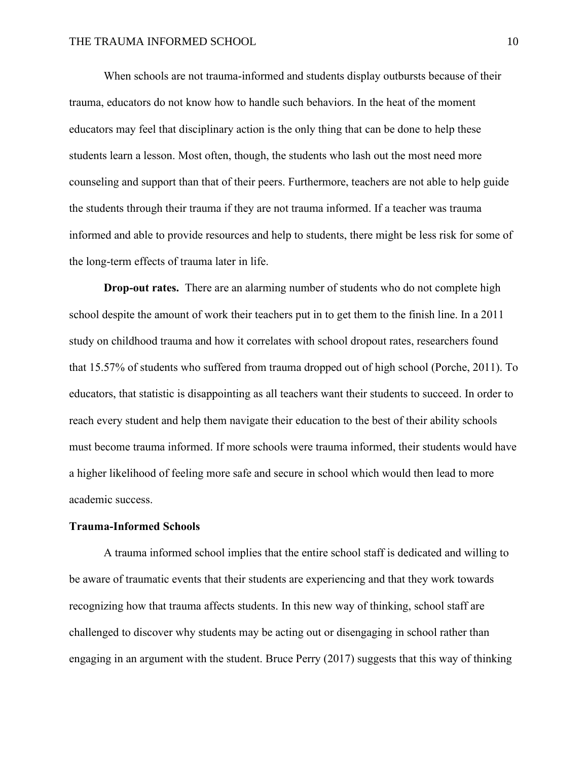When schools are not trauma-informed and students display outbursts because of their trauma, educators do not know how to handle such behaviors. In the heat of the moment educators may feel that disciplinary action is the only thing that can be done to help these students learn a lesson. Most often, though, the students who lash out the most need more counseling and support than that of their peers. Furthermore, teachers are not able to help guide the students through their trauma if they are not trauma informed. If a teacher was trauma informed and able to provide resources and help to students, there might be less risk for some of the long-term effects of trauma later in life.

**Drop-out rates.** There are an alarming number of students who do not complete high school despite the amount of work their teachers put in to get them to the finish line. In a 2011 study on childhood trauma and how it correlates with school dropout rates, researchers found that 15.57% of students who suffered from trauma dropped out of high school (Porche, 2011). To educators, that statistic is disappointing as all teachers want their students to succeed. In order to reach every student and help them navigate their education to the best of their ability schools must become trauma informed. If more schools were trauma informed, their students would have a higher likelihood of feeling more safe and secure in school which would then lead to more academic success.

#### **Trauma-Informed Schools**

A trauma informed school implies that the entire school staff is dedicated and willing to be aware of traumatic events that their students are experiencing and that they work towards recognizing how that trauma affects students. In this new way of thinking, school staff are challenged to discover why students may be acting out or disengaging in school rather than engaging in an argument with the student. Bruce Perry (2017) suggests that this way of thinking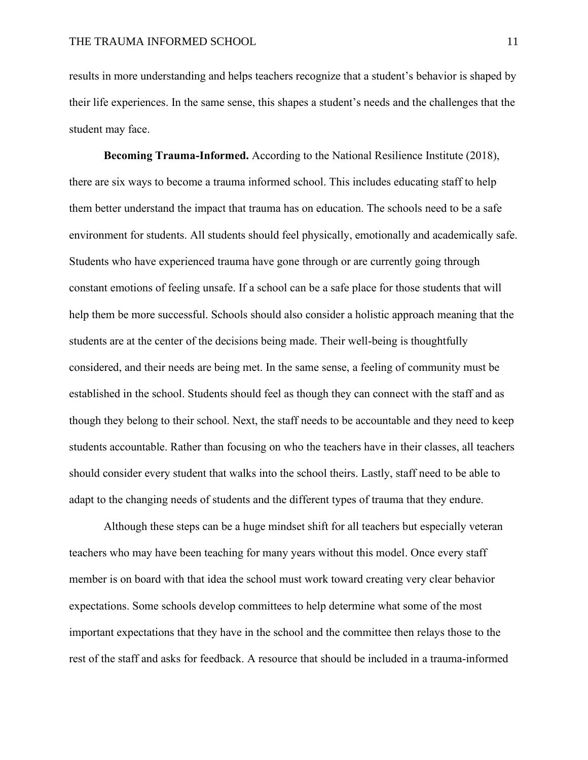results in more understanding and helps teachers recognize that a student's behavior is shaped by their life experiences. In the same sense, this shapes a student's needs and the challenges that the student may face.

**Becoming Trauma-Informed.** According to the National Resilience Institute (2018), there are six ways to become a trauma informed school. This includes educating staff to help them better understand the impact that trauma has on education. The schools need to be a safe environment for students. All students should feel physically, emotionally and academically safe. Students who have experienced trauma have gone through or are currently going through constant emotions of feeling unsafe. If a school can be a safe place for those students that will help them be more successful. Schools should also consider a holistic approach meaning that the students are at the center of the decisions being made. Their well-being is thoughtfully considered, and their needs are being met. In the same sense, a feeling of community must be established in the school. Students should feel as though they can connect with the staff and as though they belong to their school. Next, the staff needs to be accountable and they need to keep students accountable. Rather than focusing on who the teachers have in their classes, all teachers should consider every student that walks into the school theirs. Lastly, staff need to be able to adapt to the changing needs of students and the different types of trauma that they endure.

Although these steps can be a huge mindset shift for all teachers but especially veteran teachers who may have been teaching for many years without this model. Once every staff member is on board with that idea the school must work toward creating very clear behavior expectations. Some schools develop committees to help determine what some of the most important expectations that they have in the school and the committee then relays those to the rest of the staff and asks for feedback. A resource that should be included in a trauma-informed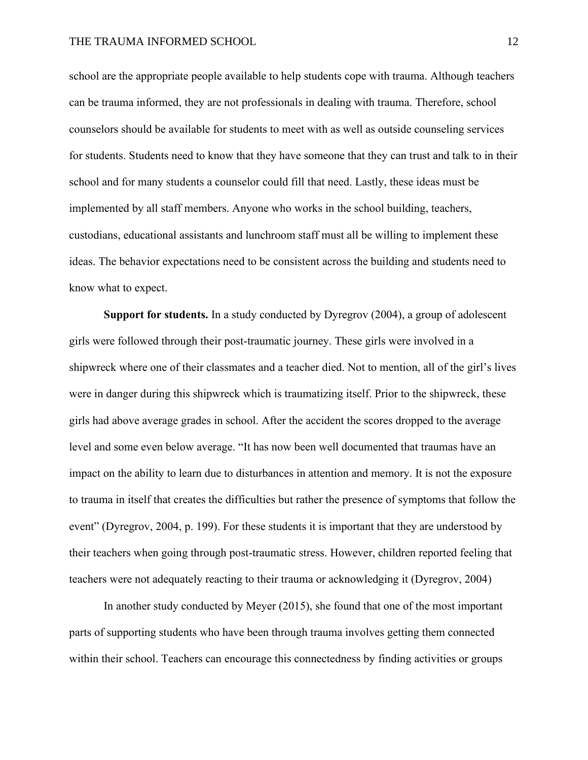school are the appropriate people available to help students cope with trauma. Although teachers can be trauma informed, they are not professionals in dealing with trauma. Therefore, school counselors should be available for students to meet with as well as outside counseling services for students. Students need to know that they have someone that they can trust and talk to in their school and for many students a counselor could fill that need. Lastly, these ideas must be implemented by all staff members. Anyone who works in the school building, teachers, custodians, educational assistants and lunchroom staff must all be willing to implement these ideas. The behavior expectations need to be consistent across the building and students need to know what to expect.

**Support for students.** In a study conducted by Dyregrov (2004), a group of adolescent girls were followed through their post-traumatic journey. These girls were involved in a shipwreck where one of their classmates and a teacher died. Not to mention, all of the girl's lives were in danger during this shipwreck which is traumatizing itself. Prior to the shipwreck, these girls had above average grades in school. After the accident the scores dropped to the average level and some even below average. "It has now been well documented that traumas have an impact on the ability to learn due to disturbances in attention and memory. It is not the exposure to trauma in itself that creates the difficulties but rather the presence of symptoms that follow the event" (Dyregrov, 2004, p. 199). For these students it is important that they are understood by their teachers when going through post-traumatic stress. However, children reported feeling that teachers were not adequately reacting to their trauma or acknowledging it (Dyregrov, 2004)

In another study conducted by Meyer (2015), she found that one of the most important parts of supporting students who have been through trauma involves getting them connected within their school. Teachers can encourage this connectedness by finding activities or groups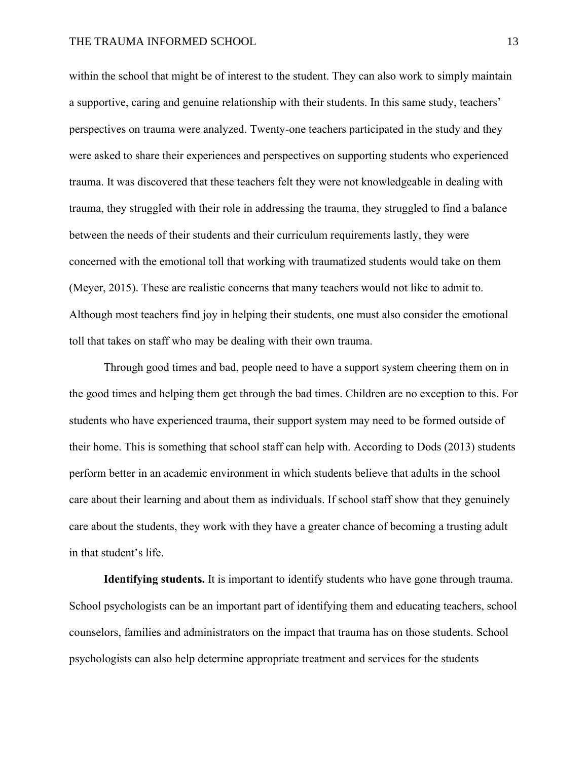within the school that might be of interest to the student. They can also work to simply maintain a supportive, caring and genuine relationship with their students. In this same study, teachers' perspectives on trauma were analyzed. Twenty-one teachers participated in the study and they were asked to share their experiences and perspectives on supporting students who experienced trauma. It was discovered that these teachers felt they were not knowledgeable in dealing with trauma, they struggled with their role in addressing the trauma, they struggled to find a balance between the needs of their students and their curriculum requirements lastly, they were concerned with the emotional toll that working with traumatized students would take on them (Meyer, 2015). These are realistic concerns that many teachers would not like to admit to. Although most teachers find joy in helping their students, one must also consider the emotional toll that takes on staff who may be dealing with their own trauma.

Through good times and bad, people need to have a support system cheering them on in the good times and helping them get through the bad times. Children are no exception to this. For students who have experienced trauma, their support system may need to be formed outside of their home. This is something that school staff can help with. According to Dods (2013) students perform better in an academic environment in which students believe that adults in the school care about their learning and about them as individuals. If school staff show that they genuinely care about the students, they work with they have a greater chance of becoming a trusting adult in that student's life.

**Identifying students.** It is important to identify students who have gone through trauma. School psychologists can be an important part of identifying them and educating teachers, school counselors, families and administrators on the impact that trauma has on those students. School psychologists can also help determine appropriate treatment and services for the students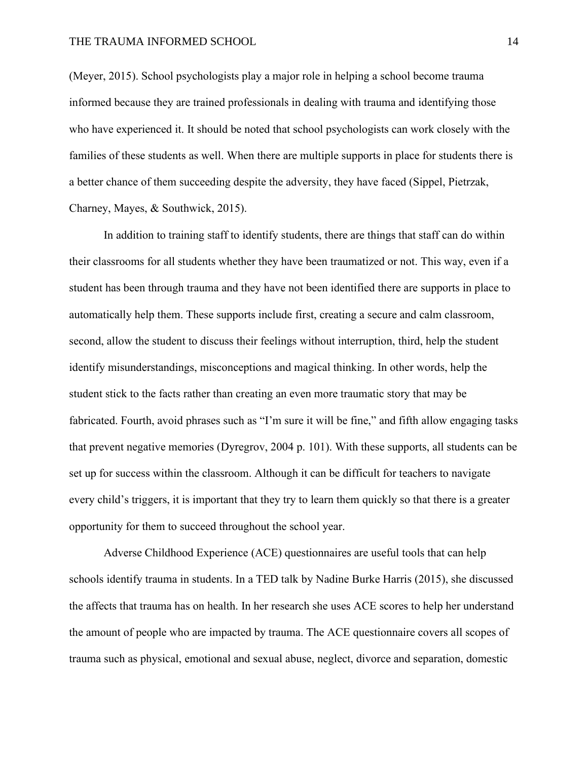(Meyer, 2015). School psychologists play a major role in helping a school become trauma informed because they are trained professionals in dealing with trauma and identifying those who have experienced it. It should be noted that school psychologists can work closely with the families of these students as well. When there are multiple supports in place for students there is a better chance of them succeeding despite the adversity, they have faced (Sippel, Pietrzak, Charney, Mayes, & Southwick, 2015).

In addition to training staff to identify students, there are things that staff can do within their classrooms for all students whether they have been traumatized or not. This way, even if a student has been through trauma and they have not been identified there are supports in place to automatically help them. These supports include first, creating a secure and calm classroom, second, allow the student to discuss their feelings without interruption, third, help the student identify misunderstandings, misconceptions and magical thinking. In other words, help the student stick to the facts rather than creating an even more traumatic story that may be fabricated. Fourth, avoid phrases such as "I'm sure it will be fine," and fifth allow engaging tasks that prevent negative memories (Dyregrov, 2004 p. 101). With these supports, all students can be set up for success within the classroom. Although it can be difficult for teachers to navigate every child's triggers, it is important that they try to learn them quickly so that there is a greater opportunity for them to succeed throughout the school year.

Adverse Childhood Experience (ACE) questionnaires are useful tools that can help schools identify trauma in students. In a TED talk by Nadine Burke Harris (2015), she discussed the affects that trauma has on health. In her research she uses ACE scores to help her understand the amount of people who are impacted by trauma. The ACE questionnaire covers all scopes of trauma such as physical, emotional and sexual abuse, neglect, divorce and separation, domestic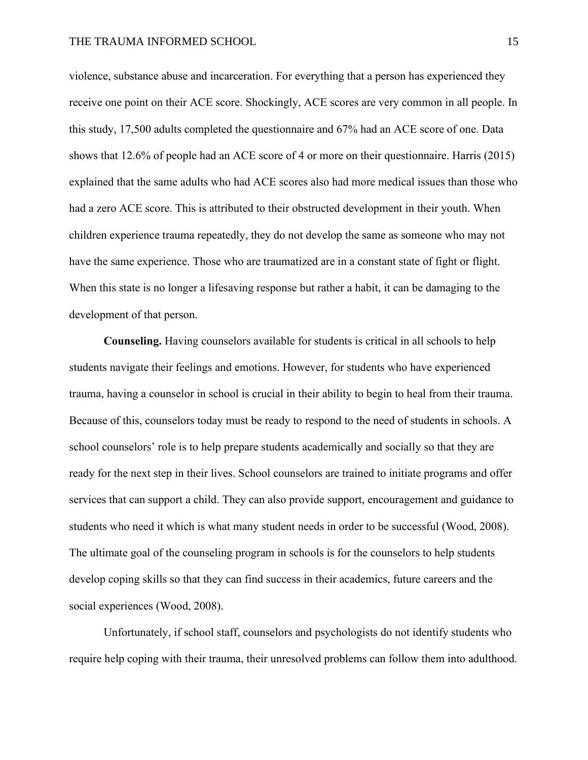violence, substance abuse and incarceration. For everything that a person has experienced they receive one point on their ACE score. Shockingly, ACE scores are very common in all people. In this study, 17,500 adults completed the questionnaire and 67% had an ACE score of one. Data shows that 12.6% of people had an ACE score of 4 or more on their questionnaire. Harris (2015) explained that the same adults who had ACE scores also had more medical issues than those who had a zero ACE score. This is attributed to their obstructed development in their youth. When children experience trauma repeatedly, they do not develop the same as someone who may not have the same experience. Those who are traumatized are in a constant state of fight or flight. When this state is no longer a lifesaving response but rather a habit, it can be damaging to the development of that person.

**Counseling.** Having counselors available for students is critical in all schools to help students navigate their feelings and emotions. However, for students who have experienced trauma, having a counselor in school is crucial in their ability to begin to heal from their trauma. Because of this, counselors today must be ready to respond to the need of students in schools. A school counselors' role is to help prepare students academically and socially so that they are ready for the next step in their lives. School counselors are trained to initiate programs and offer services that can support a child. They can also provide support, encouragement and guidance to students who need it which is what many student needs in order to be successful (Wood, 2008). The ultimate goal of the counseling program in schools is for the counselors to help students develop coping skills so that they can find success in their academics, future careers and the social experiences (Wood, 2008).

Unfortunately, if school staff, counselors and psychologists do not identify students who require help coping with their trauma, their unresolved problems can follow them into adulthood.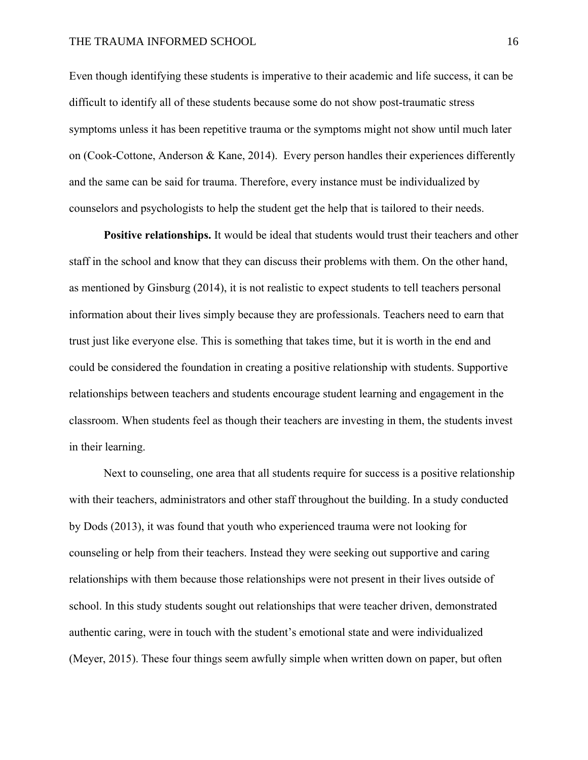Even though identifying these students is imperative to their academic and life success, it can be difficult to identify all of these students because some do not show post-traumatic stress symptoms unless it has been repetitive trauma or the symptoms might not show until much later on (Cook-Cottone, Anderson & Kane, 2014). Every person handles their experiences differently and the same can be said for trauma. Therefore, every instance must be individualized by counselors and psychologists to help the student get the help that is tailored to their needs.

**Positive relationships.** It would be ideal that students would trust their teachers and other staff in the school and know that they can discuss their problems with them. On the other hand, as mentioned by Ginsburg (2014), it is not realistic to expect students to tell teachers personal information about their lives simply because they are professionals. Teachers need to earn that trust just like everyone else. This is something that takes time, but it is worth in the end and could be considered the foundation in creating a positive relationship with students. Supportive relationships between teachers and students encourage student learning and engagement in the classroom. When students feel as though their teachers are investing in them, the students invest in their learning.

Next to counseling, one area that all students require for success is a positive relationship with their teachers, administrators and other staff throughout the building. In a study conducted by Dods (2013), it was found that youth who experienced trauma were not looking for counseling or help from their teachers. Instead they were seeking out supportive and caring relationships with them because those relationships were not present in their lives outside of school. In this study students sought out relationships that were teacher driven, demonstrated authentic caring, were in touch with the student's emotional state and were individualized (Meyer, 2015). These four things seem awfully simple when written down on paper, but often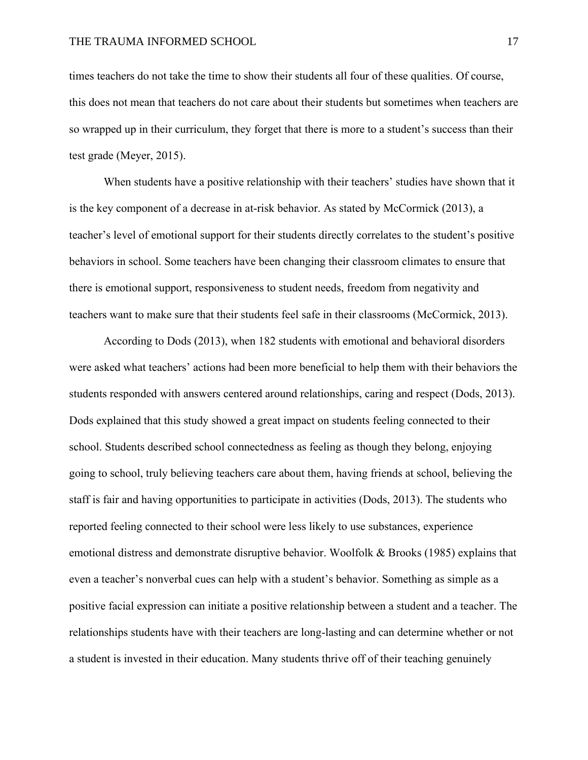times teachers do not take the time to show their students all four of these qualities. Of course, this does not mean that teachers do not care about their students but sometimes when teachers are so wrapped up in their curriculum, they forget that there is more to a student's success than their test grade (Meyer, 2015).

When students have a positive relationship with their teachers' studies have shown that it is the key component of a decrease in at-risk behavior. As stated by McCormick (2013), a teacher's level of emotional support for their students directly correlates to the student's positive behaviors in school. Some teachers have been changing their classroom climates to ensure that there is emotional support, responsiveness to student needs, freedom from negativity and teachers want to make sure that their students feel safe in their classrooms (McCormick, 2013).

According to Dods (2013), when 182 students with emotional and behavioral disorders were asked what teachers' actions had been more beneficial to help them with their behaviors the students responded with answers centered around relationships, caring and respect (Dods, 2013). Dods explained that this study showed a great impact on students feeling connected to their school. Students described school connectedness as feeling as though they belong, enjoying going to school, truly believing teachers care about them, having friends at school, believing the staff is fair and having opportunities to participate in activities (Dods, 2013). The students who reported feeling connected to their school were less likely to use substances, experience emotional distress and demonstrate disruptive behavior. Woolfolk & Brooks (1985) explains that even a teacher's nonverbal cues can help with a student's behavior. Something as simple as a positive facial expression can initiate a positive relationship between a student and a teacher. The relationships students have with their teachers are long-lasting and can determine whether or not a student is invested in their education. Many students thrive off of their teaching genuinely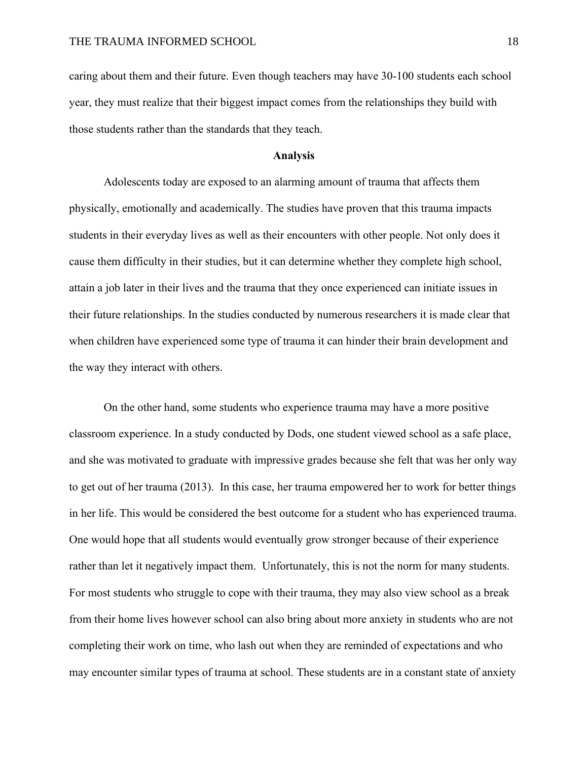caring about them and their future. Even though teachers may have 30-100 students each school year, they must realize that their biggest impact comes from the relationships they build with those students rather than the standards that they teach.

#### **Analysis**

Adolescents today are exposed to an alarming amount of trauma that affects them physically, emotionally and academically. The studies have proven that this trauma impacts students in their everyday lives as well as their encounters with other people. Not only does it cause them difficulty in their studies, but it can determine whether they complete high school, attain a job later in their lives and the trauma that they once experienced can initiate issues in their future relationships. In the studies conducted by numerous researchers it is made clear that when children have experienced some type of trauma it can hinder their brain development and the way they interact with others.

On the other hand, some students who experience trauma may have a more positive classroom experience. In a study conducted by Dods, one student viewed school as a safe place, and she was motivated to graduate with impressive grades because she felt that was her only way to get out of her trauma (2013). In this case, her trauma empowered her to work for better things in her life. This would be considered the best outcome for a student who has experienced trauma. One would hope that all students would eventually grow stronger because of their experience rather than let it negatively impact them. Unfortunately, this is not the norm for many students. For most students who struggle to cope with their trauma, they may also view school as a break from their home lives however school can also bring about more anxiety in students who are not completing their work on time, who lash out when they are reminded of expectations and who may encounter similar types of trauma at school. These students are in a constant state of anxiety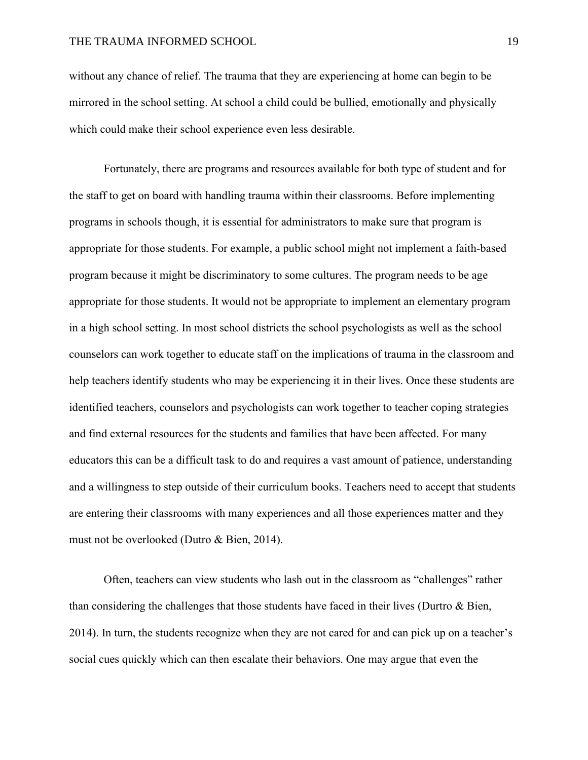without any chance of relief. The trauma that they are experiencing at home can begin to be mirrored in the school setting. At school a child could be bullied, emotionally and physically which could make their school experience even less desirable.

Fortunately, there are programs and resources available for both type of student and for the staff to get on board with handling trauma within their classrooms. Before implementing programs in schools though, it is essential for administrators to make sure that program is appropriate for those students. For example, a public school might not implement a faith-based program because it might be discriminatory to some cultures. The program needs to be age appropriate for those students. It would not be appropriate to implement an elementary program in a high school setting. In most school districts the school psychologists as well as the school counselors can work together to educate staff on the implications of trauma in the classroom and help teachers identify students who may be experiencing it in their lives. Once these students are identified teachers, counselors and psychologists can work together to teacher coping strategies and find external resources for the students and families that have been affected. For many educators this can be a difficult task to do and requires a vast amount of patience, understanding and a willingness to step outside of their curriculum books. Teachers need to accept that students are entering their classrooms with many experiences and all those experiences matter and they must not be overlooked (Dutro & Bien, 2014).

Often, teachers can view students who lash out in the classroom as "challenges" rather than considering the challenges that those students have faced in their lives (Durtro & Bien, 2014). In turn, the students recognize when they are not cared for and can pick up on a teacher's social cues quickly which can then escalate their behaviors. One may argue that even the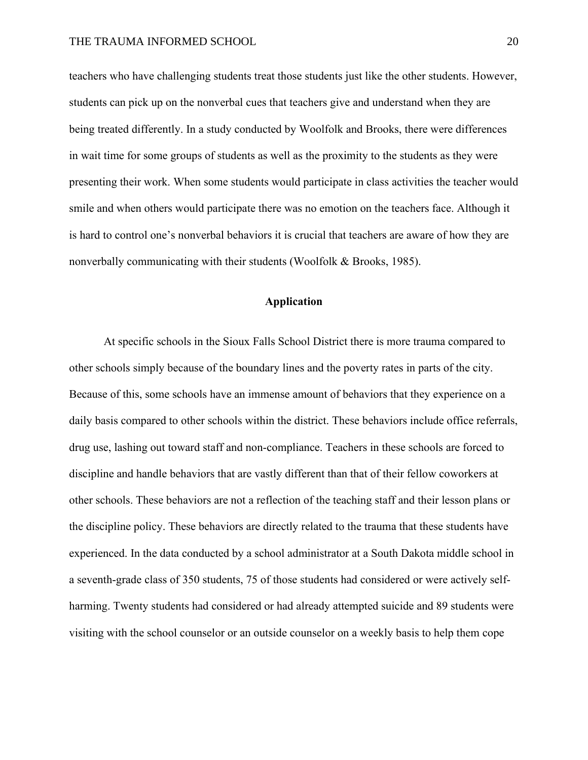teachers who have challenging students treat those students just like the other students. However, students can pick up on the nonverbal cues that teachers give and understand when they are being treated differently. In a study conducted by Woolfolk and Brooks, there were differences in wait time for some groups of students as well as the proximity to the students as they were presenting their work. When some students would participate in class activities the teacher would smile and when others would participate there was no emotion on the teachers face. Although it is hard to control one's nonverbal behaviors it is crucial that teachers are aware of how they are nonverbally communicating with their students (Woolfolk & Brooks, 1985).

#### **Application**

At specific schools in the Sioux Falls School District there is more trauma compared to other schools simply because of the boundary lines and the poverty rates in parts of the city. Because of this, some schools have an immense amount of behaviors that they experience on a daily basis compared to other schools within the district. These behaviors include office referrals, drug use, lashing out toward staff and non-compliance. Teachers in these schools are forced to discipline and handle behaviors that are vastly different than that of their fellow coworkers at other schools. These behaviors are not a reflection of the teaching staff and their lesson plans or the discipline policy. These behaviors are directly related to the trauma that these students have experienced. In the data conducted by a school administrator at a South Dakota middle school in a seventh-grade class of 350 students, 75 of those students had considered or were actively selfharming. Twenty students had considered or had already attempted suicide and 89 students were visiting with the school counselor or an outside counselor on a weekly basis to help them cope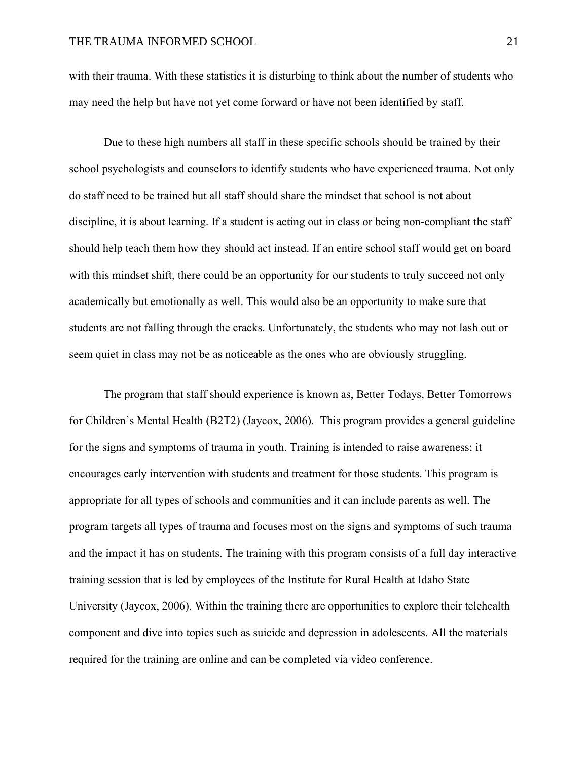with their trauma. With these statistics it is disturbing to think about the number of students who may need the help but have not yet come forward or have not been identified by staff.

Due to these high numbers all staff in these specific schools should be trained by their school psychologists and counselors to identify students who have experienced trauma. Not only do staff need to be trained but all staff should share the mindset that school is not about discipline, it is about learning. If a student is acting out in class or being non-compliant the staff should help teach them how they should act instead. If an entire school staff would get on board with this mindset shift, there could be an opportunity for our students to truly succeed not only academically but emotionally as well. This would also be an opportunity to make sure that students are not falling through the cracks. Unfortunately, the students who may not lash out or seem quiet in class may not be as noticeable as the ones who are obviously struggling.

The program that staff should experience is known as, Better Todays, Better Tomorrows for Children's Mental Health (B2T2) (Jaycox, 2006). This program provides a general guideline for the signs and symptoms of trauma in youth. Training is intended to raise awareness; it encourages early intervention with students and treatment for those students. This program is appropriate for all types of schools and communities and it can include parents as well. The program targets all types of trauma and focuses most on the signs and symptoms of such trauma and the impact it has on students. The training with this program consists of a full day interactive training session that is led by employees of the Institute for Rural Health at Idaho State University (Jaycox, 2006). Within the training there are opportunities to explore their telehealth component and dive into topics such as suicide and depression in adolescents. All the materials required for the training are online and can be completed via video conference.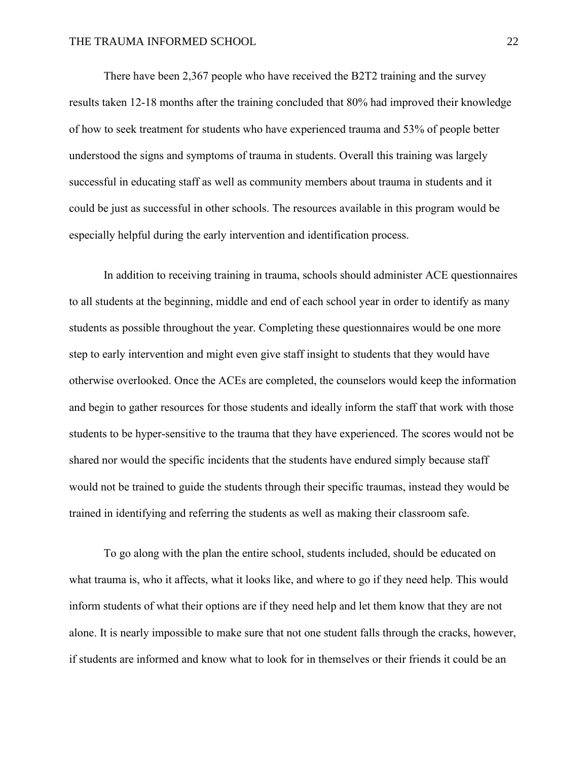There have been 2,367 people who have received the B2T2 training and the survey results taken 12-18 months after the training concluded that 80% had improved their knowledge of how to seek treatment for students who have experienced trauma and 53% of people better understood the signs and symptoms of trauma in students. Overall this training was largely successful in educating staff as well as community members about trauma in students and it could be just as successful in other schools. The resources available in this program would be especially helpful during the early intervention and identification process.

In addition to receiving training in trauma, schools should administer ACE questionnaires to all students at the beginning, middle and end of each school year in order to identify as many students as possible throughout the year. Completing these questionnaires would be one more step to early intervention and might even give staff insight to students that they would have otherwise overlooked. Once the ACEs are completed, the counselors would keep the information and begin to gather resources for those students and ideally inform the staff that work with those students to be hyper-sensitive to the trauma that they have experienced. The scores would not be shared nor would the specific incidents that the students have endured simply because staff would not be trained to guide the students through their specific traumas, instead they would be trained in identifying and referring the students as well as making their classroom safe.

To go along with the plan the entire school, students included, should be educated on what trauma is, who it affects, what it looks like, and where to go if they need help. This would inform students of what their options are if they need help and let them know that they are not alone. It is nearly impossible to make sure that not one student falls through the cracks, however, if students are informed and know what to look for in themselves or their friends it could be an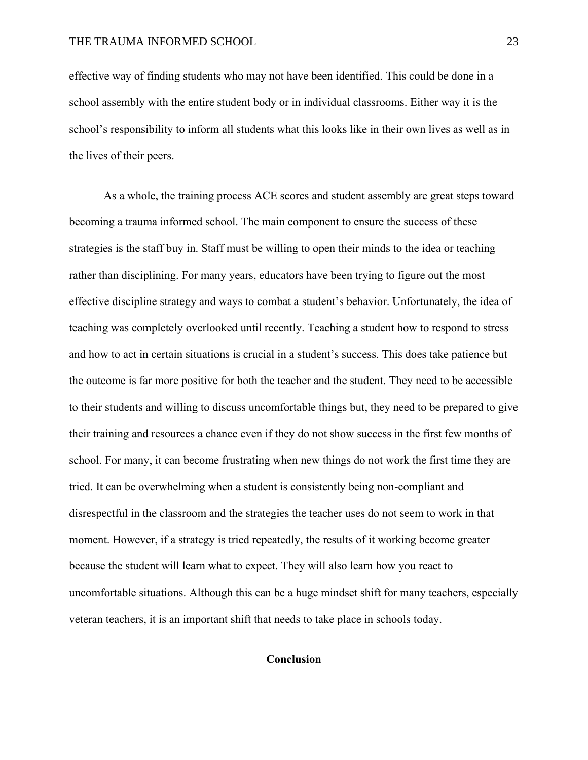effective way of finding students who may not have been identified. This could be done in a school assembly with the entire student body or in individual classrooms. Either way it is the school's responsibility to inform all students what this looks like in their own lives as well as in the lives of their peers.

As a whole, the training process ACE scores and student assembly are great steps toward becoming a trauma informed school. The main component to ensure the success of these strategies is the staff buy in. Staff must be willing to open their minds to the idea or teaching rather than disciplining. For many years, educators have been trying to figure out the most effective discipline strategy and ways to combat a student's behavior. Unfortunately, the idea of teaching was completely overlooked until recently. Teaching a student how to respond to stress and how to act in certain situations is crucial in a student's success. This does take patience but the outcome is far more positive for both the teacher and the student. They need to be accessible to their students and willing to discuss uncomfortable things but, they need to be prepared to give their training and resources a chance even if they do not show success in the first few months of school. For many, it can become frustrating when new things do not work the first time they are tried. It can be overwhelming when a student is consistently being non-compliant and disrespectful in the classroom and the strategies the teacher uses do not seem to work in that moment. However, if a strategy is tried repeatedly, the results of it working become greater because the student will learn what to expect. They will also learn how you react to uncomfortable situations. Although this can be a huge mindset shift for many teachers, especially veteran teachers, it is an important shift that needs to take place in schools today.

#### **Conclusion**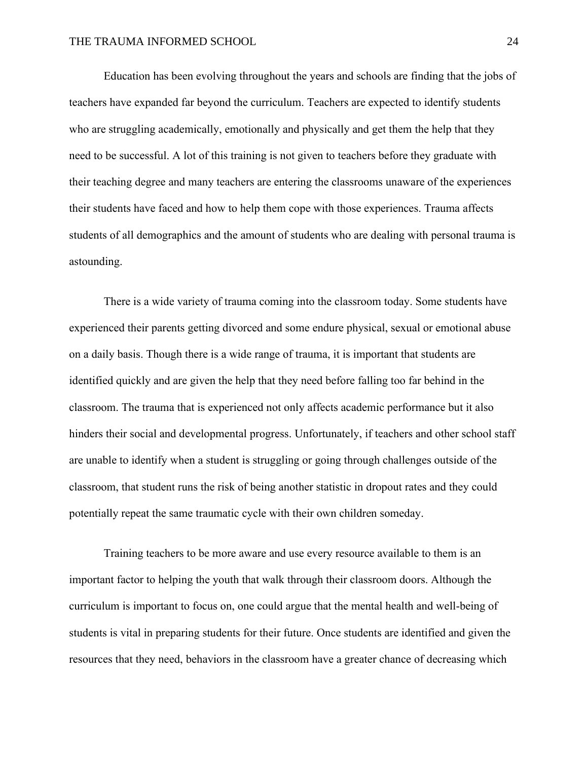Education has been evolving throughout the years and schools are finding that the jobs of teachers have expanded far beyond the curriculum. Teachers are expected to identify students who are struggling academically, emotionally and physically and get them the help that they need to be successful. A lot of this training is not given to teachers before they graduate with their teaching degree and many teachers are entering the classrooms unaware of the experiences their students have faced and how to help them cope with those experiences. Trauma affects students of all demographics and the amount of students who are dealing with personal trauma is astounding.

There is a wide variety of trauma coming into the classroom today. Some students have experienced their parents getting divorced and some endure physical, sexual or emotional abuse on a daily basis. Though there is a wide range of trauma, it is important that students are identified quickly and are given the help that they need before falling too far behind in the classroom. The trauma that is experienced not only affects academic performance but it also hinders their social and developmental progress. Unfortunately, if teachers and other school staff are unable to identify when a student is struggling or going through challenges outside of the classroom, that student runs the risk of being another statistic in dropout rates and they could potentially repeat the same traumatic cycle with their own children someday.

Training teachers to be more aware and use every resource available to them is an important factor to helping the youth that walk through their classroom doors. Although the curriculum is important to focus on, one could argue that the mental health and well-being of students is vital in preparing students for their future. Once students are identified and given the resources that they need, behaviors in the classroom have a greater chance of decreasing which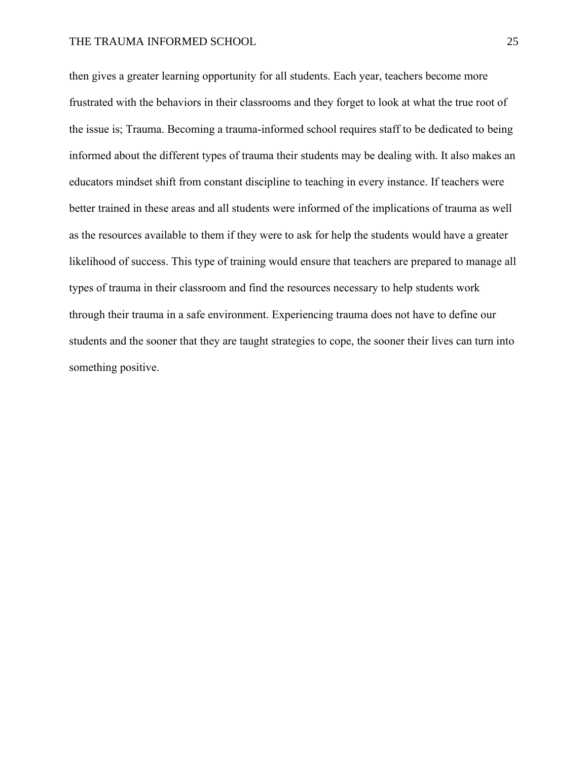then gives a greater learning opportunity for all students. Each year, teachers become more frustrated with the behaviors in their classrooms and they forget to look at what the true root of the issue is; Trauma. Becoming a trauma-informed school requires staff to be dedicated to being informed about the different types of trauma their students may be dealing with. It also makes an educators mindset shift from constant discipline to teaching in every instance. If teachers were better trained in these areas and all students were informed of the implications of trauma as well as the resources available to them if they were to ask for help the students would have a greater likelihood of success. This type of training would ensure that teachers are prepared to manage all types of trauma in their classroom and find the resources necessary to help students work through their trauma in a safe environment. Experiencing trauma does not have to define our students and the sooner that they are taught strategies to cope, the sooner their lives can turn into something positive.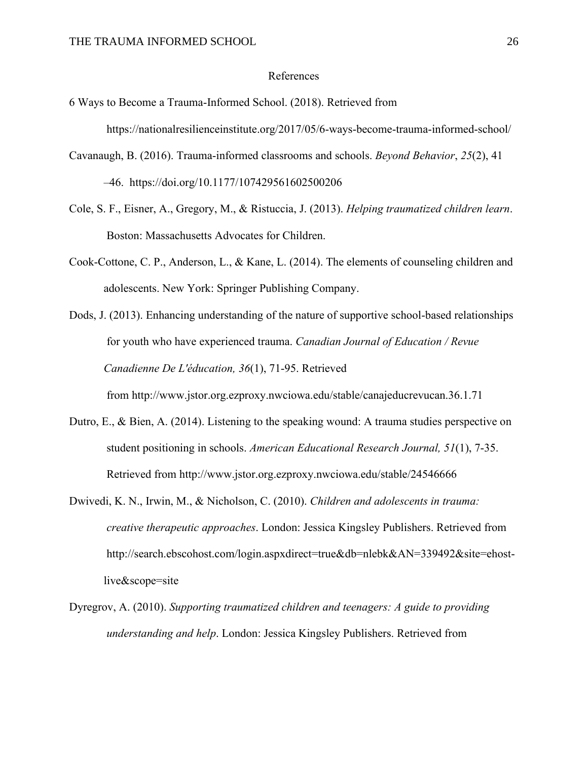#### References

- 6 Ways to Become a Trauma-Informed School. (2018). Retrieved from https://nationalresilienceinstitute.org/2017/05/6-ways-become-trauma-informed-school/
- Cavanaugh, B. (2016). Trauma-informed classrooms and schools. *Beyond Behavior*, *25*(2), 41 –46. <https://doi.org/10.1177/107429561602500206>
- Cole, S. F., Eisner, A., Gregory, M., & Ristuccia, J. (2013). *Helping traumatized children learn*. Boston: Massachusetts Advocates for Children.
- Cook-Cottone, C. P., Anderson, L., & Kane, L. (2014). The elements of counseling children and adolescents. New York: Springer Publishing Company.
- Dods, J. (2013). Enhancing understanding of the nature of supportive school-based relationships for youth who have experienced trauma. *Canadian Journal of Education / Revue Canadienne De L'éducation, 36*(1), 71-95. Retrieved

from<http://www.jstor.org.ezproxy.nwciowa.edu/stable/canajeducrevucan.36.1.71>

- Dutro, E., & Bien, A. (2014). Listening to the speaking wound: A trauma studies perspective on student positioning in schools. *American Educational Research Journal, 51*(1), 7-35. Retrieved from<http://www.jstor.org.ezproxy.nwciowa.edu/stable/24546666>
- Dwivedi, K. N., Irwin, M., & Nicholson, C. (2010). *Children and adolescents in trauma: creative therapeutic approaches*. London: Jessica Kingsley Publishers. Retrieved from http://search.ebscohost.com/login.aspxdirect=true&db=nlebk&AN=339492&site=ehostlive&scope=site
- Dyregrov, A. (2010). *Supporting traumatized children and teenagers: A guide to providing understanding and help*. London: Jessica Kingsley Publishers. Retrieved from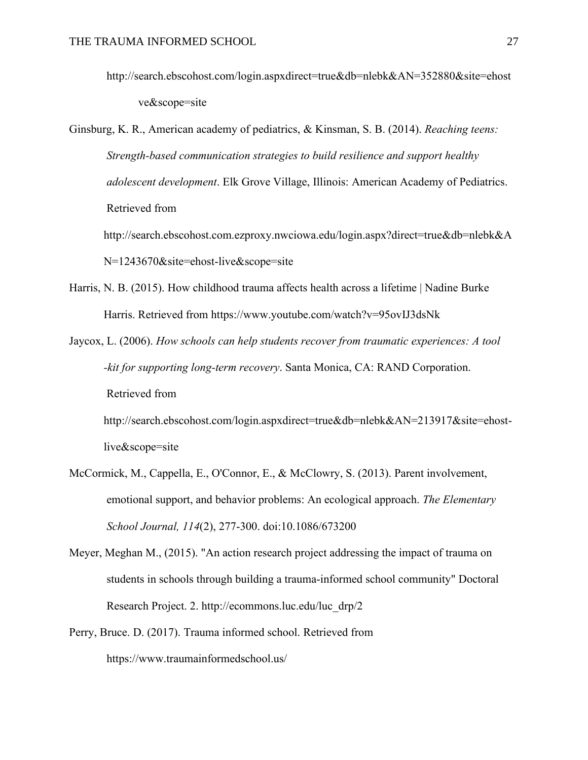- [http://search.ebscohost.com/login.aspxdirect=true&db=nlebk&AN=352880&site=ehost](http://search.ebscohost.com/login.aspx?direct=true&db=nlebk&AN=352880&site=ehost-live&scope=site) [ve&scope=site](http://search.ebscohost.com/login.aspx?direct=true&db=nlebk&AN=352880&site=ehost-live&scope=site)
- Ginsburg, K. R., American academy of pediatrics, & Kinsman, S. B. (2014). *Reaching teens: Strength-based communication strategies to build resilience and support healthy adolescent development*. Elk Grove Village, Illinois: American Academy of Pediatrics. Retrieved from [http://search.ebscohost.com.ezproxy.nwciowa.edu/login.aspx?direct=true&db=nlebk&A](http://search.ebscohost.com.ezproxy.nwciowa.edu/login.aspx?direct=true&db=nlebk&AN=1243670&site=ehost-live&scope=site)

[N=1243670&site=ehost-live&scope=site](http://search.ebscohost.com.ezproxy.nwciowa.edu/login.aspx?direct=true&db=nlebk&AN=1243670&site=ehost-live&scope=site)

- Harris, N. B. (2015). How childhood trauma affects health across a lifetime | Nadine Burke Harris. Retrieved from https://www.youtube.com/watch?v=95ovIJ3dsNk
- Jaycox, L. (2006). *How schools can help students recover from traumatic experiences: A tool -kit for supporting long-term recovery*. Santa Monica, CA: RAND Corporation. Retrieved from

[http://search.ebscohost.com/login.aspxdirect=true&db=nlebk&AN=213917&site=ehost](http://search.ebscohost.com/login.aspx?direct=true&db=nlebk&AN=213917&site=ehost-live&scope=site)[live&scope=site](http://search.ebscohost.com/login.aspx?direct=true&db=nlebk&AN=213917&site=ehost-live&scope=site)

- McCormick, M., Cappella, E., O'Connor, E., & McClowry, S. (2013). Parent involvement, emotional support, and behavior problems: An ecological approach. *The Elementary School Journal, 114*(2), 277-300. doi:10.1086/673200
- Meyer, Meghan M., (2015). "An action research project addressing the impact of trauma on students in schools through building a trauma-informed school community" Doctoral Research Project. 2. http://ecommons.luc.edu/luc\_drp/2
- Perry, Bruce. D. (2017). Trauma informed school. Retrieved from https://www.traumainformedschool.us/